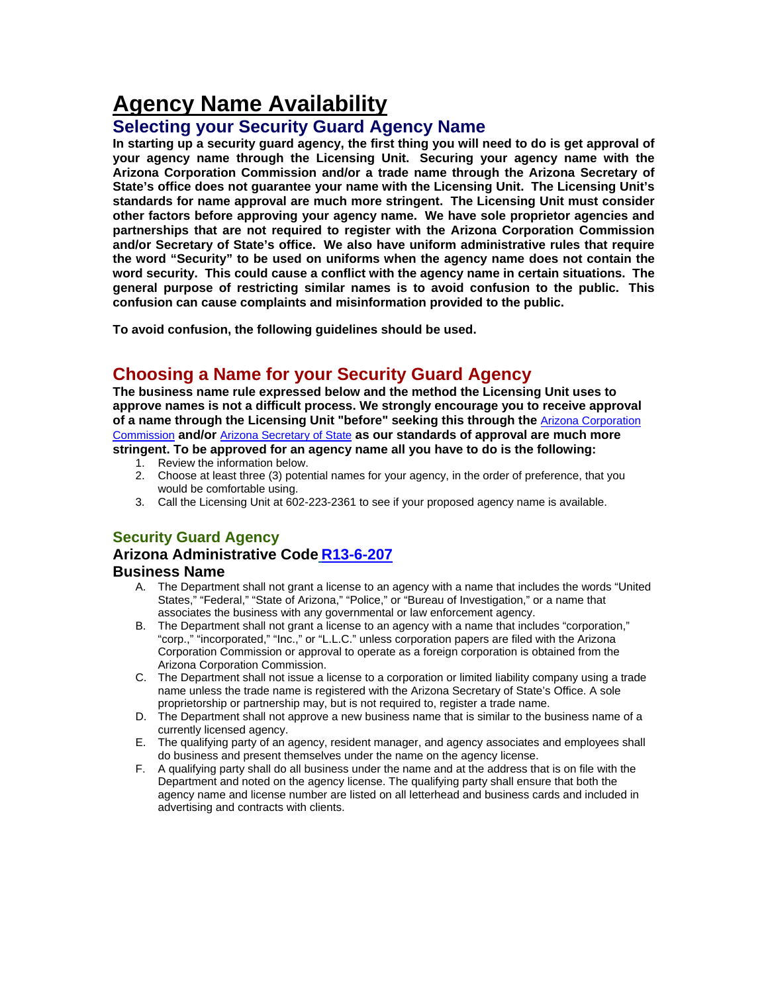# **Agency Name Availability**

## **Selecting your Security Guard Agency Name**

**In starting up a security guard agency, the first thing you will need to do is get approval of your agency name through the Licensing Unit. Securing your agency name with the Arizona Corporation Commission and/or a trade name through the Arizona Secretary of State's office does not guarantee your name with the Licensing Unit. The Licensing Unit's standards for name approval are much more stringent. The Licensing Unit must consider other factors before approving your agency name. We have sole proprietor agencies and partnerships that are not required to register with the Arizona Corporation Commission and/or Secretary of State's office. We also have uniform administrative rules that require the word "Security" to be used on uniforms when the agency name does not contain the word security. This could cause a conflict with the agency name in certain situations. The general purpose of restricting similar names is to avoid confusion to the public. This confusion can cause complaints and misinformation provided to the public.** 

**To avoid confusion, the following guidelines should be used.** 

## **Choosing a Name for your Security Guard Agency**

**The business name rule expressed below and the method the Licensing Unit uses to approve names is not a difficult process. We strongly encourage you to receive approval of a name through the Licensing Unit "before" seeking this through the** Arizona Corporation Commission **and/or** Arizona Secretary of State **as our standards of approval are much more stringent. To be approved for an agency name all you have to do is the following:**

- 1. Review the information below.
- 2. Choose at least three (3) potential names for your agency, in the order of preference, that you would be comfortable using.
- 3. Call the Licensing Unit at 602-223-2361 to see if your proposed agency name is available.

## **Security Guard Agency**

## **Arizona Administrative Code R13-6-207**

#### **Business Name**

- A. The Department shall not grant a license to an agency with a name that includes the words "United States," "Federal," "State of Arizona," "Police," or "Bureau of Investigation," or a name that associates the business with any governmental or law enforcement agency.
- B. The Department shall not grant a license to an agency with a name that includes "corporation," "corp.," "incorporated," "Inc.," or "L.L.C." unless corporation papers are filed with the Arizona Corporation Commission or approval to operate as a foreign corporation is obtained from the Arizona Corporation Commission.
- C. The Department shall not issue a license to a corporation or limited liability company using a trade name unless the trade name is registered with the Arizona Secretary of State's Office. A sole proprietorship or partnership may, but is not required to, register a trade name.
- D. The Department shall not approve a new business name that is similar to the business name of a currently licensed agency.
- E. The qualifying party of an agency, resident manager, and agency associates and employees shall do business and present themselves under the name on the agency license.
- F. A qualifying party shall do all business under the name and at the address that is on file with the Department and noted on the agency license. The qualifying party shall ensure that both the agency name and license number are listed on all letterhead and business cards and included in advertising and contracts with clients.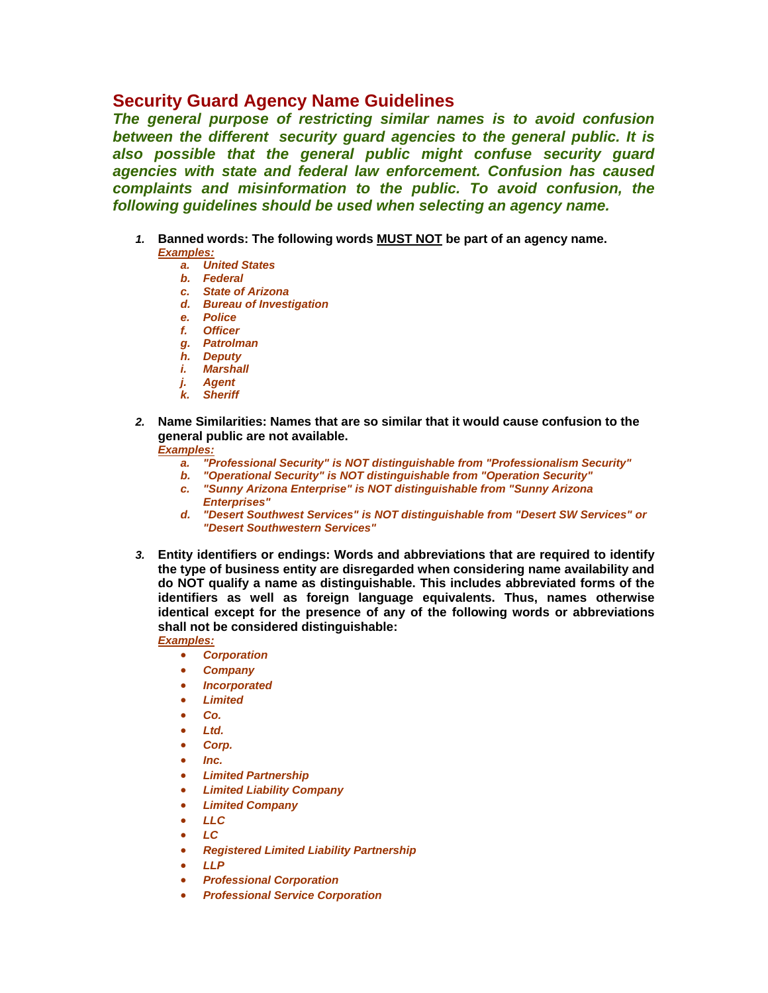## **Security Guard Agency Name Guidelines**

*The general purpose of restricting similar names is to avoid confusion between the different security guard agencies to the general public. It is also possible that the general public might confuse security guard agencies with state and federal law enforcement. Confusion has caused complaints and misinformation to the public. To avoid confusion, the following guidelines should be used when selecting an agency name.*

- *1.* **Banned words: The following words MUST NOT be part of an agency name.**  *Examples:* 
	- *a. United States*
	- *b. Federal*
	- *c. State of Arizona*
	- *d. Bureau of Investigation*
	- *e. Police*
	- *f. Officer*
	- *g. Patrolman*
	- *h. Deputy*
	- *i. Marshall*
	- *j. Agent*
	- *k. Sheriff*
- *2.* **Name Similarities: Names that are so similar that it would cause confusion to the general public are not available.**

#### *Examples:*

- *a. "Professional Security" is NOT distinguishable from "Professionalism Security"*
- *b. "Operational Security" is NOT distinguishable from "Operation Security"*
- *c. "Sunny Arizona Enterprise" is NOT distinguishable from "Sunny Arizona Enterprises"*
- *d. "Desert Southwest Services" is NOT distinguishable from "Desert SW Services" or "Desert Southwestern Services"*
- *3.* **Entity identifiers or endings: Words and abbreviations that are required to identify the type of business entity are disregarded when considering name availability and do NOT qualify a name as distinguishable. This includes abbreviated forms of the identifiers as well as foreign language equivalents. Thus, names otherwise identical except for the presence of any of the following words or abbreviations shall not be considered distinguishable:**

- *Corporation*
- *Company*
- *Incorporated*
- *Limited*
- *Co.*
- *Ltd.*
- *Corp.*
- *Inc.*
- *Limited Partnership*
- *Limited Liability Company*
- *Limited Company*
- *LLC*
- *LC*
- *Registered Limited Liability Partnership*
- *LLP*
- *Professional Corporation*
- *Professional Service Corporation*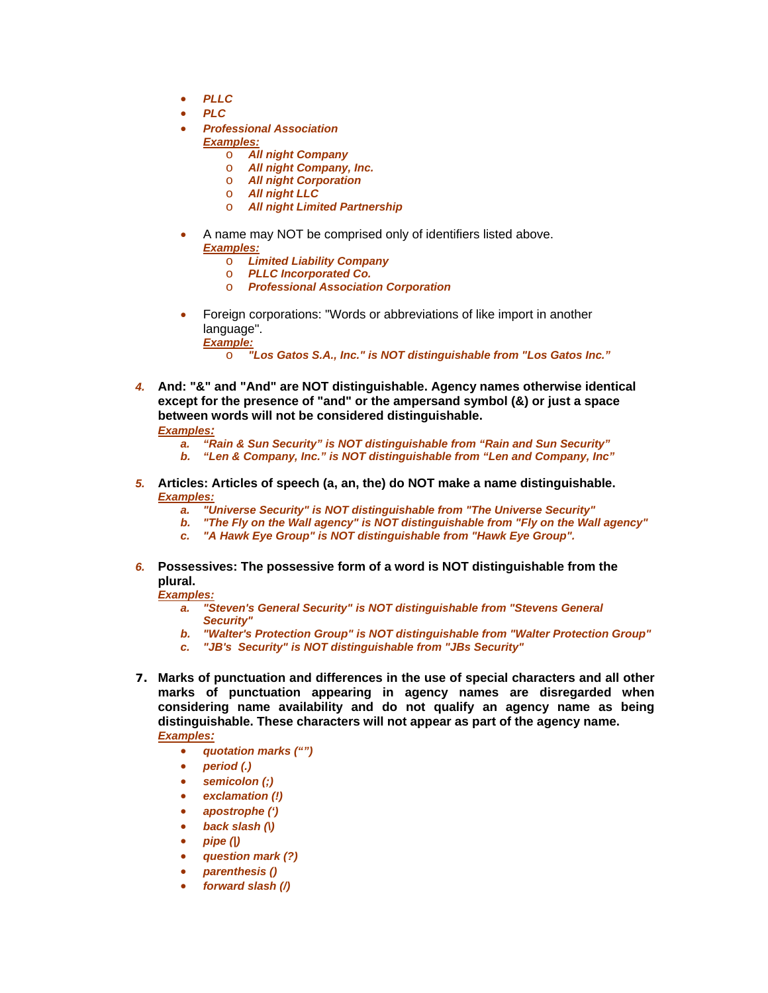- *PLLC*
- *PLC*
- *Professional Association* 
	- *Examples:* 
		- o *All night Company*
		- o *All night Company, Inc.*
		- o *All night Corporation*
		- o *All night LLC*
		- o *All night Limited Partnership*
- A name may NOT be comprised only of identifiers listed above. *Examples:* 
	- o *Limited Liability Company*
	- o *PLLC Incorporated Co.*
	- o *Professional Association Corporation*
- Foreign corporations: "Words or abbreviations of like import in another language". *Example:* 
	- o *"Los Gatos S.A., Inc." is NOT distinguishable from "Los Gatos Inc."*
- *4.* **And: "&" and "And" are NOT distinguishable. Agency names otherwise identical except for the presence of "and" or the ampersand symbol (&) or just a space between words will not be considered distinguishable.**

#### *Examples:*

- *a. "Rain & Sun Security" is NOT distinguishable from "Rain and Sun Security"*
- *b. "Len & Company, Inc." is NOT distinguishable from "Len and Company, Inc"*
- *5.* **Articles: Articles of speech (a, an, the) do NOT make a name distinguishable.**  *Examples:* 
	- *a. "Universe Security" is NOT distinguishable from "The Universe Security"*
	- *b. "The Fly on the Wall agency" is NOT distinguishable from "Fly on the Wall agency"*
	- *c. "A Hawk Eye Group" is NOT distinguishable from "Hawk Eye Group".*
- *6.* **Possessives: The possessive form of a word is NOT distinguishable from the plural.**

- *a. "Steven's General Security" is NOT distinguishable from "Stevens General Security"*
- *b. "Walter's Protection Group" is NOT distinguishable from "Walter Protection Group"*
- *c. "JB's Security" is NOT distinguishable from "JBs Security"*
- *7.* **Marks of punctuation and differences in the use of special characters and all other marks of punctuation appearing in agency names are disregarded when considering name availability and do not qualify an agency name as being distinguishable. These characters will not appear as part of the agency name.** *Examples:*
	- *quotation marks ("")*
	- *period (.)*
	- *semicolon (;)*
	- *exclamation (!)*
	- *apostrophe (')*
	- *back slash (\)*
	- *pipe (|)*
	- *question mark (?)*
	- *parenthesis ()*
	- *forward slash (/)*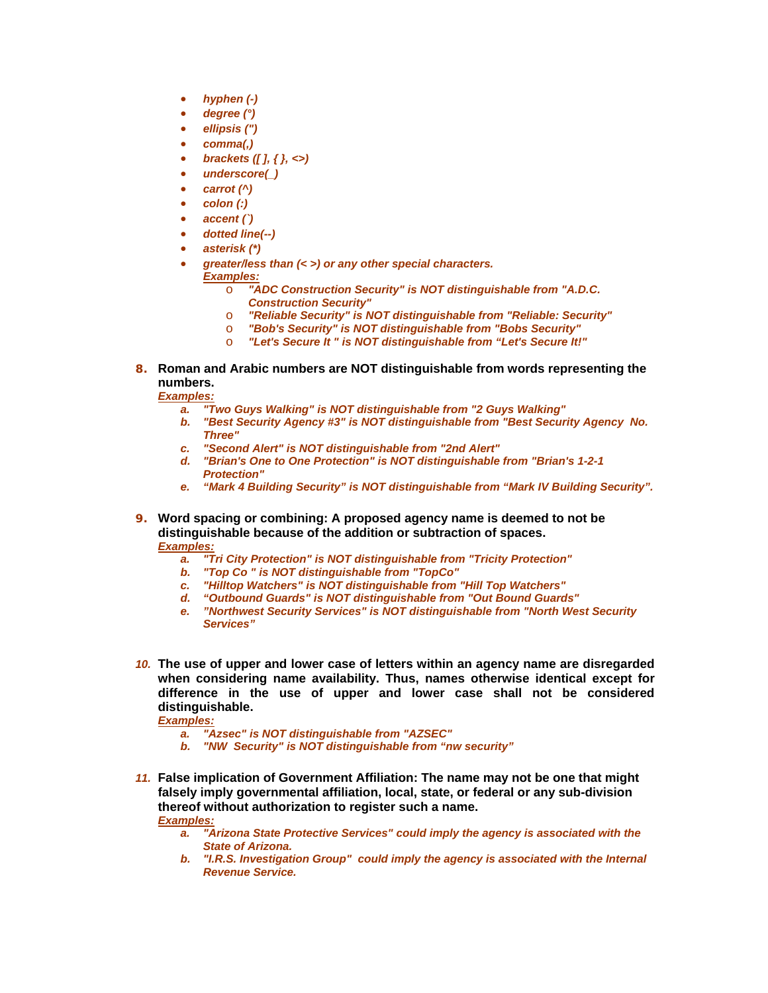- *hyphen (-)*
- *degree (°)*
- *ellipsis (")*
- *comma(,)*
- *brackets ([ ], { }, <>)*
- *underscore(\_)*
- *carrot (^)*
- *colon (:)*
- *accent (`)*
- *dotted line(--)*
- *asterisk (\*)*
	- *greater/less than (< >) or any other special characters.*
- *Examples:* 
	- o *"ADC Construction Security" is NOT distinguishable from "A.D.C. Construction Security"*
	- o *"Reliable Security" is NOT distinguishable from "Reliable: Security"*
	- o *"Bob's Security" is NOT distinguishable from "Bobs Security"*
	- "Let's Secure It " is NOT distinguishable from "Let's Secure It!"
- *8.* **Roman and Arabic numbers are NOT distinguishable from words representing the numbers.**

*Examples:* 

- *a. "Two Guys Walking" is NOT distinguishable from "2 Guys Walking"*
- *b. "Best Security Agency #3" is NOT distinguishable from "Best Security Agency No. Three"*
- *c. "Second Alert" is NOT distinguishable from "2nd Alert"*
- *d. "Brian's One to One Protection" is NOT distinguishable from "Brian's 1-2-1 Protection"*
- *e. "Mark 4 Building Security" is NOT distinguishable from "Mark IV Building Security".*
- *9.* **Word spacing or combining: A proposed agency name is deemed to not be distinguishable because of the addition or subtraction of spaces.**  *Examples:* 
	- *a. "Tri City Protection" is NOT distinguishable from "Tricity Protection"*
	- *b. "Top Co " is NOT distinguishable from "TopCo"*
	- *c. "Hilltop Watchers" is NOT distinguishable from "Hill Top Watchers"*
	- *d. "Outbound Guards" is NOT distinguishable from "Out Bound Guards"*
	- *e. "Northwest Security Services" is NOT distinguishable from "North West Security Services"*
- *10.* **The use of upper and lower case of letters within an agency name are disregarded when considering name availability. Thus, names otherwise identical except for difference in the use of upper and lower case shall not be considered distinguishable.**

- *a. "Azsec" is NOT distinguishable from "AZSEC"*
- *b. "NW Security" is NOT distinguishable from "nw security"*
- *11.* **False implication of Government Affiliation: The name may not be one that might falsely imply governmental affiliation, local, state, or federal or any sub-division thereof without authorization to register such a name.**  *Examples:* 
	- *a. "Arizona State Protective Services" could imply the agency is associated with the State of Arizona.*
	- *b. "I.R.S. Investigation Group" could imply the agency is associated with the Internal Revenue Service.*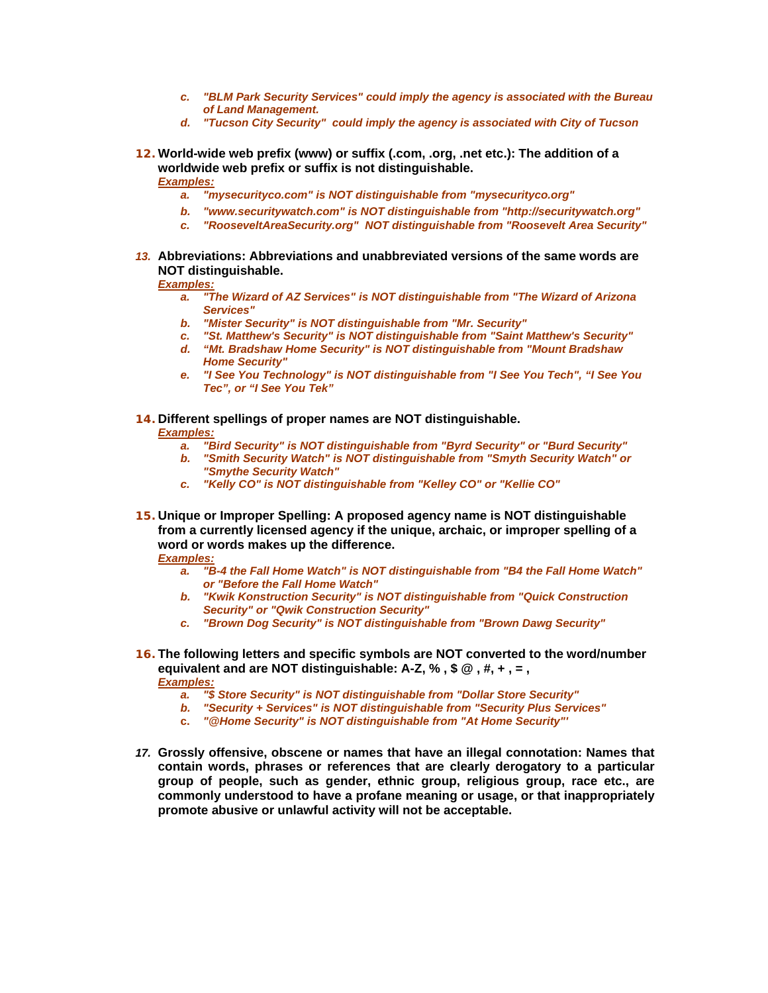- *c. "BLM Park Security Services" could imply the agency is associated with the Bureau of Land Management.*
- *d. "Tucson City Security" could imply the agency is associated with City of Tucson*
- *12.* **World-wide web prefix (www) or suffix (.com, .org, .net etc.): The addition of a worldwide web prefix or suffix is not distinguishable.**  *Examples:* 
	- *a. "mysecurityco.com" is NOT distinguishable from "mysecurityco.org"*
	-
	- *b. "www.securitywatch.com" is NOT distinguishable from "http://securitywatch.org"*<br>c. "RooseveltAreaSecurity.org" NOT distinguishable from "Roosevelt Area Security"
- *13.* **Abbreviations: Abbreviations and unabbreviated versions of the same words are NOT distinguishable.**

#### *Examples:*

- *a. "The Wizard of AZ Services" is NOT distinguishable from "The Wizard of Arizona Services"*
- *b. "Mister Security" is NOT distinguishable from "Mr. Security"*
- *c. "St. Matthew's Security" is NOT distinguishable from "Saint Matthew's Security"*
- *d. "Mt. Bradshaw Home Security" is NOT distinguishable from "Mount Bradshaw Home Security"*
- *e. "I See You Technology" is NOT distinguishable from "I See You Tech", "I See You Tec", or "I See You Tek"*
- *14.* **Different spellings of proper names are NOT distinguishable.**

#### *Examples:*

- *a. "Bird Security" is NOT distinguishable from "Byrd Security" or "Burd Security"*
- *b. "Smith Security Watch" is NOT distinguishable from "Smyth Security Watch" or "Smythe Security Watch"*
- *c. "Kelly CO" is NOT distinguishable from "Kelley CO" or "Kellie CO"*
- *15.* **Unique or Improper Spelling: A proposed agency name is NOT distinguishable from a currently licensed agency if the unique, archaic, or improper spelling of a word or words makes up the difference.**

- *a. "B-4 the Fall Home Watch" is NOT distinguishable from "B4 the Fall Home Watch" or "Before the Fall Home Watch"*
- *b. "Kwik Konstruction Security" is NOT distinguishable from "Quick Construction Security" or "Qwik Construction Security"*
- *c. "Brown Dog Security" is NOT distinguishable from "Brown Dawg Security"*
- *16.* **The following letters and specific symbols are NOT converted to the word/number equivalent and are NOT distinguishable: A-Z, % , \$ @ , #, + , = ,**  *Examples:* 
	- *a. "\$ Store Security" is NOT distinguishable from "Dollar Store Security"*
	- *b. "Security + Services" is NOT distinguishable from "Security Plus Services"*
	- **c.** *"@Home Security" is NOT distinguishable from "At Home Security"'*
- *17.* **Grossly offensive, obscene or names that have an illegal connotation: Names that contain words, phrases or references that are clearly derogatory to a particular group of people, such as gender, ethnic group, religious group, race etc., are commonly understood to have a profane meaning or usage, or that inappropriately promote abusive or unlawful activity will not be acceptable.**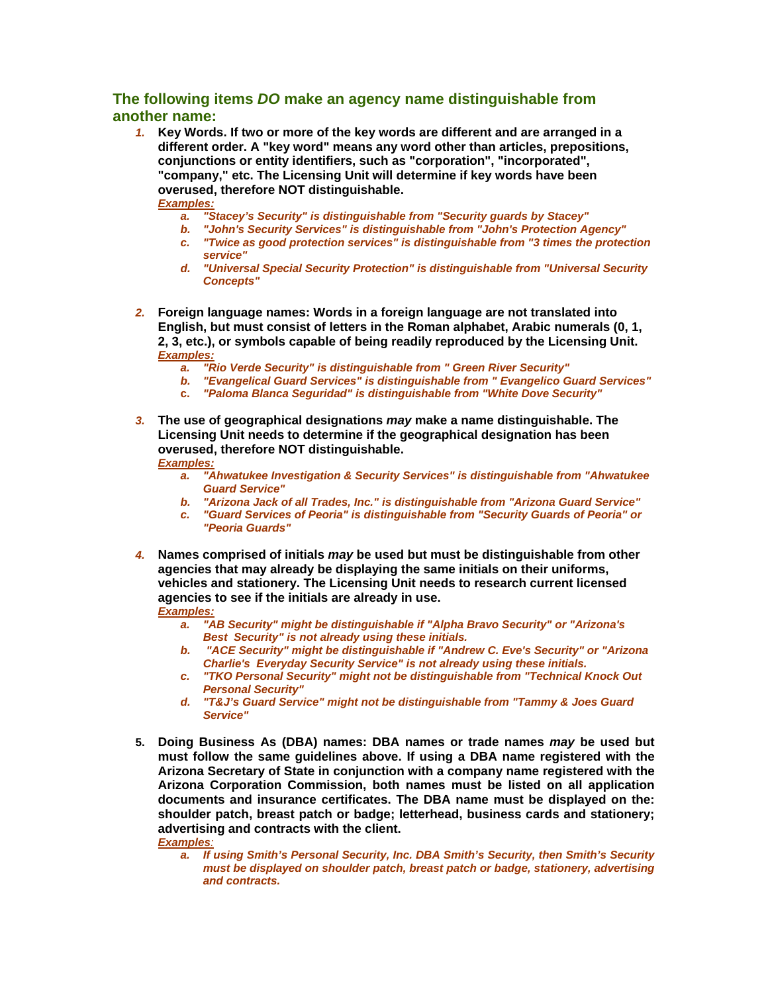## **The following items** *DO* **make an agency name distinguishable from another name:**

*1.* **Key Words. If two or more of the key words are different and are arranged in a different order. A "key word" means any word other than articles, prepositions, conjunctions or entity identifiers, such as "corporation", "incorporated", "company," etc. The Licensing Unit will determine if key words have been overused, therefore NOT distinguishable.** *Examples:* 

- *a. "Stacey's Security" is distinguishable from "Security guards by Stacey"*
- *b. "John's Security Services" is distinguishable from "John's Protection Agency" c. "Twice as good protection services" is distinguishable from "3 times the protection service"*
- *d. "Universal Special Security Protection" is distinguishable from "Universal Security Concepts"*
- *2.* **Foreign language names: Words in a foreign language are not translated into English, but must consist of letters in the Roman alphabet, Arabic numerals (0, 1, 2, 3, etc.), or symbols capable of being readily reproduced by the Licensing Unit.**  *Examples:* 
	- *a. "Rio Verde Security" is distinguishable from " Green River Security"*
	- *b. "Evangelical Guard Services" is distinguishable from " Evangelico Guard Services"*
	- **c.** *"Paloma Blanca Seguridad" is distinguishable from "White Dove Security"*
- *3.* **The use of geographical designations** *may* **make a name distinguishable. The Licensing Unit needs to determine if the geographical designation has been overused, therefore NOT distinguishable.**

#### *Examples:*

- *a. "Ahwatukee Investigation & Security Services" is distinguishable from "Ahwatukee Guard Service"*
- *b. "Arizona Jack of all Trades, Inc." is distinguishable from "Arizona Guard Service"*
- *c. "Guard Services of Peoria" is distinguishable from "Security Guards of Peoria" or "Peoria Guards"*
- *4.* **Names comprised of initials** *may* **be used but must be distinguishable from other agencies that may already be displaying the same initials on their uniforms, vehicles and stationery. The Licensing Unit needs to research current licensed agencies to see if the initials are already in use.** *Examples:* 
	- *a. "AB Security" might be distinguishable if "Alpha Bravo Security" or "Arizona's Best Security" is not already using these initials.*
	- *b. "ACE Security" might be distinguishable if "Andrew C. Eve's Security" or "Arizona Charlie's Everyday Security Service" is not already using these initials.*
	- *c. "TKO Personal Security" might not be distinguishable from "Technical Knock Out Personal Security"*
	- *d. "T&J's Guard Service" might not be distinguishable from "Tammy & Joes Guard Service"*
- **5. Doing Business As (DBA) names: DBA names or trade names** *may* **be used but must follow the same guidelines above. If using a DBA name registered with the Arizona Secretary of State in conjunction with a company name registered with the Arizona Corporation Commission, both names must be listed on all application documents and insurance certificates. The DBA name must be displayed on the: shoulder patch, breast patch or badge; letterhead, business cards and stationery; advertising and contracts with the client.**

### *Examples:*

*a. If using Smith's Personal Security, Inc. DBA Smith's Security, then Smith's Security must be displayed on shoulder patch, breast patch or badge, stationery, advertising and contracts.*